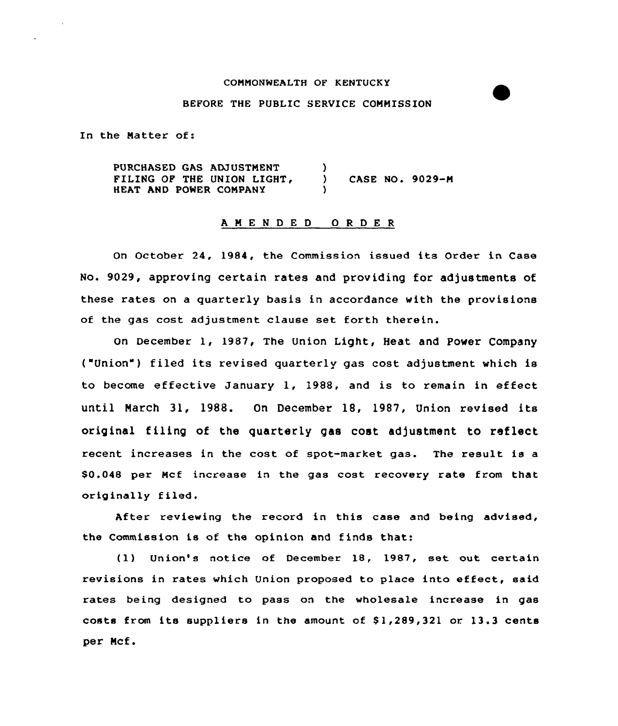#### COMMONWEALTH OF KENTUCK Y

### BEFORE THE PUBLIC SERVICE COMMISSION

In the Natter of:

PURCHASED GAS ADJUSTMENT FILING OF THE UNION LIGHT, HEAT AND POMER CONPANY ) ) CASE NO. 9029-N )

### <sup>A</sup> <sup>M</sup> E <sup>N</sup> <sup>D</sup> E <sup>D</sup> 0 <sup>R</sup> <sup>D</sup> E <sup>R</sup>

On October 24, 1984, the Commission issued its Order in Case No. 9029, approving certain rates and providing for adjustments of these rates on a quaxtexly basis in accordance with the provisions of the gas cost adjustment clause set forth therein.

On December 1, 1987, The Union Light, Heat and Power Company ("Union" ) filed its revised quarterly gas cost adjustment which is to become effective January 1, 1988, and is to remain in effect until Narch 31, 1988. On December 18, 1987, Union xevised its original filing of the quarterly gas cost adjustment to reflect recent incxeases in the cost of spot-market gas. The result is a \$0.048 per Ncf increase in the gas cost recovery rate from that originally filed.

After reviewing the record in this case and being advised, the Commission is of the opinion and finds that:

(1) Union's notice of December 18, 1987, set out certain revisions in rates which Union proposed to place into effect, said rates being designed to pass on the wholesale increase in gas costs from its suppliers in the amount of  $$1,289,321$  or  $13.3$  cents per Ncf.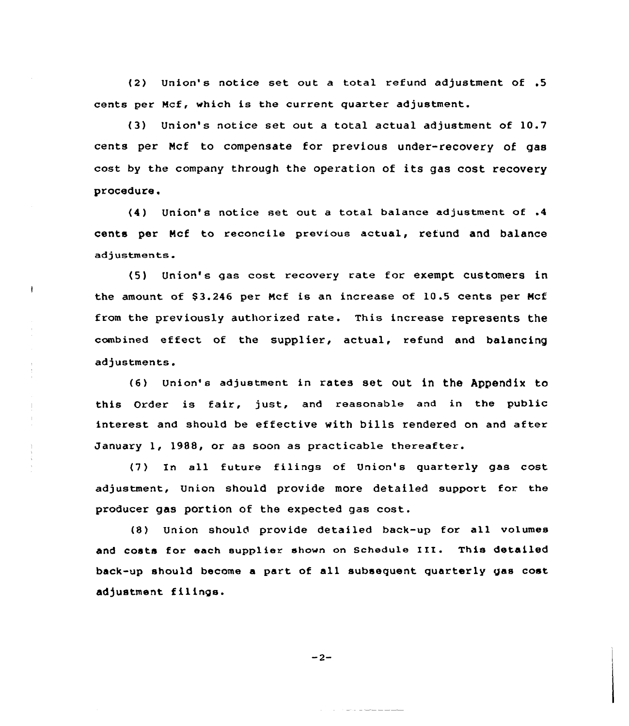(2) Union's notice set out a total refund adjustment of .5 cents per Ncf, which is the current quarter adjustment.

(3) Union's notice set out a total actual adjustment of 10.7 cents per Ncf to compensate for previous under-recovery of gas cost by the company through the operation of its gas cost recovery procedure.

(4) Union's notice set out <sup>a</sup> total balance adjustment of .4 cents per Ncf to reconcile previous actual, refund and balance adjustments.

Union's gas cost recovery rate for exempt customers in, the amount of 83.246 per Ncf is an increase of 10.5 cents per Mcf from the previously authorized rate. This increase represents the combined effect of the supplier, actual, refund and balancing adjustments.

 $\frac{1}{2}$ 

(8) Union' adjustment in rates set out in the Appendix to this Order is fair, just, and reasonable and in the public interest and should be effective with bills rendered on and after January 1, 1988, or as soon as practicable thereafter.

(7) In all future filings of Union's quarterly gas cost adjustment, Union should provide more detailed support for the producer gas portion of the expected gas cost.

(8) Union should provide detailed back-up for all volumes and costs for each supplier shown on Schedule III. This detailed back-up should become <sup>a</sup> part of all subsequent quarterly gas cost adjustment filings.

 $-2-$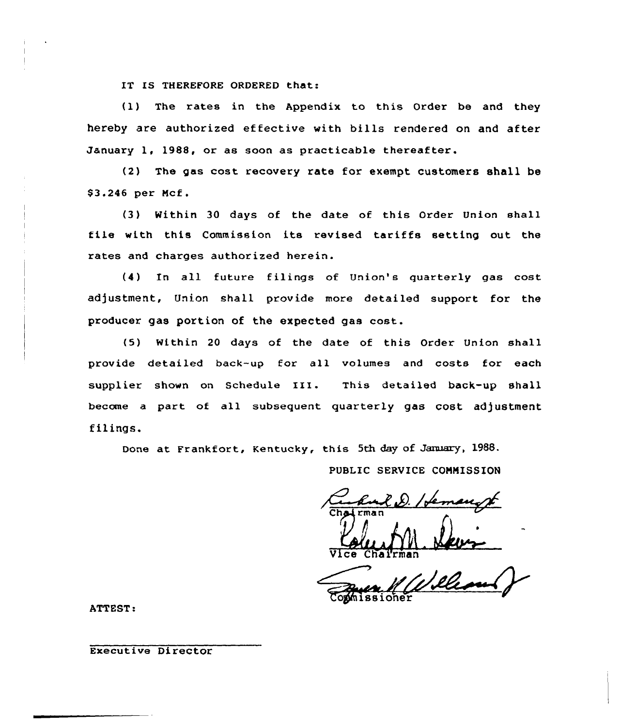IT IS THEREFORE ORDERED that:

(1) The rates in the Appendix to this Order be and they hereby are authorized effective with bills rendered on and after January 1, 1988, or as soon as practicable thereafter.

(2) The gas cost recovery rate for exempt customers shall be \$ 3.246 per Ncf.

(3) Within 30 days of the date of this Order Union sha11 file with this Commission its revised tariffs setting out the rates and charges authorized herein.

(4) In all future filings of Union's quarterly gas cost adjustment, Union shall provide more detailed support for the producer gas portion of the expected gas cost.

(5) Within 20 days of the date of this Order Union shall provide detailed back-up for all volumes and costs for each supplier shown on Schedule III. This detailed back-up shall become a part of all subsequent quarterly gas cost adjustment filings.

Done at Frankfort, Kentucky, this 5th day of January, 1988.

PUBLIC SERVICE CONNISSION

e. 2. Joannes<br>francourt

Vice Chairma

Commissioner

ATTEST:

Executive Director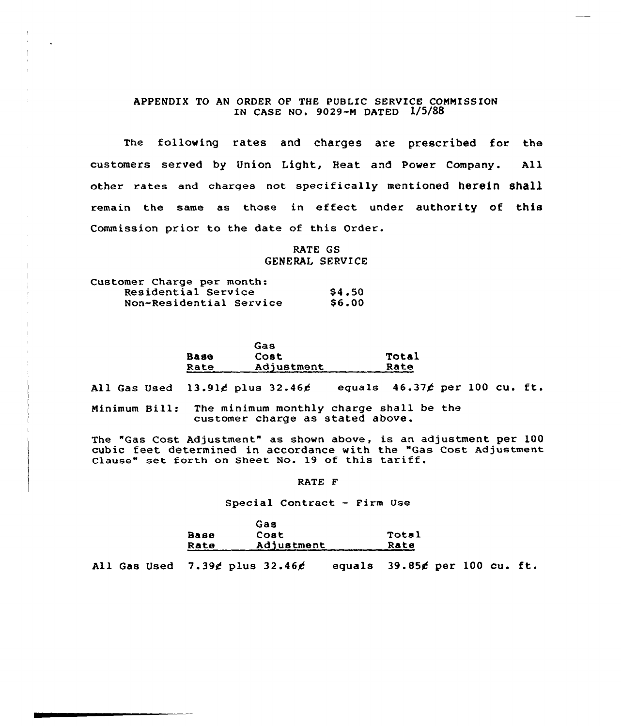# APPENDIX TO AN ORDER OF THE PUBLIC SERVICE COMMISSION IN CASE NO. 9029-M DATED 1/5/88

The following rates and charges are prescribed for the customers served by Union Light, Heat and Power Company. All other rates and charges not specifically mentioned herein shall remain the same as those in effect under authority of this Commission prior to the date of this Order.

> RATE GS GENERAL SERUICE

| Customer Charge per month: |              |
|----------------------------|--------------|
| Residential Service        | \$4.50       |
| Non-Residential Service    | <b>S6.00</b> |

|      | Gas        |       |
|------|------------|-------|
| Вазе | Cost       | Total |
| Rate | Adjustment | Rate  |

All Gas Used  $13.91 \notin$  plus  $32.46 \notin$  equals  $46.37 \notin$  per 100 cu. ft.

Minimum Bill: The minimum monthly charge shall be the customer charge as stated above.

The "Gas Cost Adjustment" as shown above, is an adjustment per 100 cubic feet determined in accordance with the "Gas Cost Adjustment Clause" set forth on Sheet No. 19 of this tariff.

RATE F

#### Special Contract — Firm Use

|      | Gas         |       |
|------|-------------|-------|
| Base | <b>Cost</b> | Total |
| Rate | Adjustment  | Rate  |

All Gas Used  $7.39$ ¢ plus  $32.46$  $6$  equals  $39.85$  $6$  per 100 cu. ft.